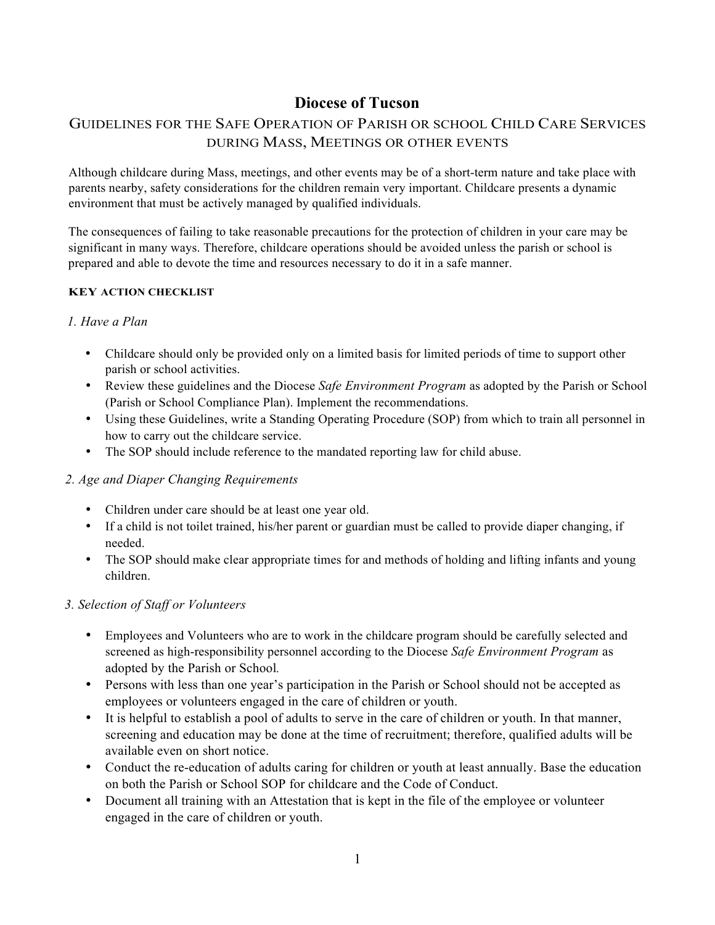# **Diocese of Tucson**

## GUIDELINES FOR THE SAFE OPERATION OF PARISH OR SCHOOL CHILD CARE SERVICES DURING MASS, MEETINGS OR OTHER EVENTS

Although childcare during Mass, meetings, and other events may be of a short-term nature and take place with parents nearby, safety considerations for the children remain very important. Childcare presents a dynamic environment that must be actively managed by qualified individuals.

The consequences of failing to take reasonable precautions for the protection of children in your care may be significant in many ways. Therefore, childcare operations should be avoided unless the parish or school is prepared and able to devote the time and resources necessary to do it in a safe manner.

#### **KEY ACTION CHECKLIST**

#### *1. Have a Plan*

- Childcare should only be provided only on a limited basis for limited periods of time to support other parish or school activities.
- Review these guidelines and the Diocese *Safe Environment Program* as adopted by the Parish or School (Parish or School Compliance Plan). Implement the recommendations.
- Using these Guidelines, write a Standing Operating Procedure (SOP) from which to train all personnel in how to carry out the childcare service.
- The SOP should include reference to the mandated reporting law for child abuse.

#### *2. Age and Diaper Changing Requirements*

- Children under care should be at least one year old.
- If a child is not toilet trained, his/her parent or guardian must be called to provide diaper changing, if needed.
- The SOP should make clear appropriate times for and methods of holding and lifting infants and young children.

#### *3. Selection of Staff or Volunteers*

- Employees and Volunteers who are to work in the childcare program should be carefully selected and screened as high-responsibility personnel according to the Diocese *Safe Environment Program* as adopted by the Parish or School*.*
- Persons with less than one year's participation in the Parish or School should not be accepted as employees or volunteers engaged in the care of children or youth.
- It is helpful to establish a pool of adults to serve in the care of children or youth. In that manner, screening and education may be done at the time of recruitment; therefore, qualified adults will be available even on short notice.
- Conduct the re-education of adults caring for children or youth at least annually. Base the education on both the Parish or School SOP for childcare and the Code of Conduct.
- Document all training with an Attestation that is kept in the file of the employee or volunteer engaged in the care of children or youth.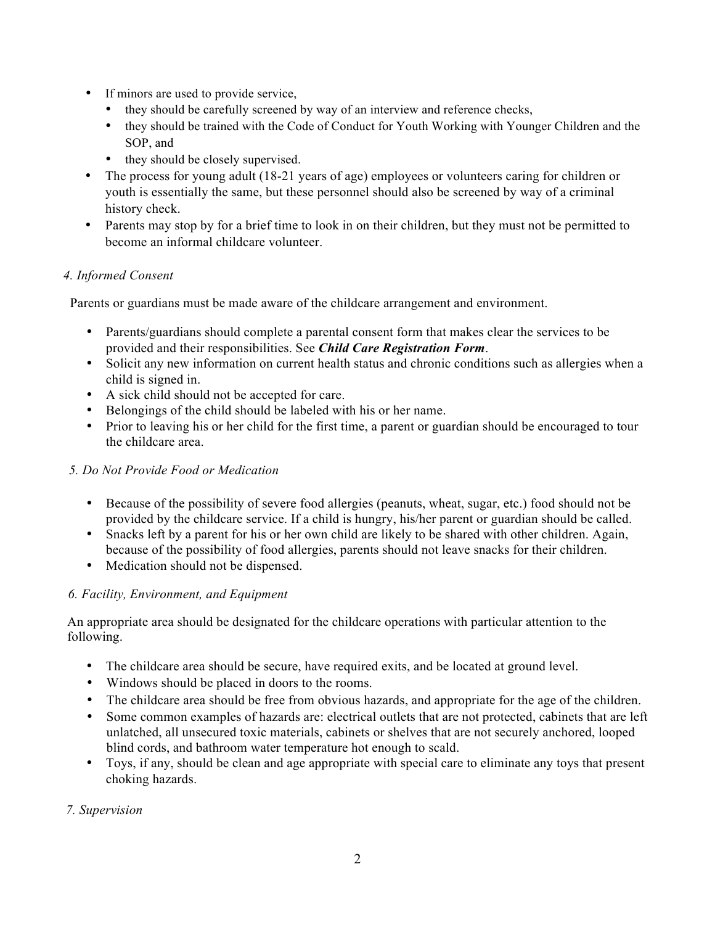- If minors are used to provide service,
	- they should be carefully screened by way of an interview and reference checks,
	- they should be trained with the Code of Conduct for Youth Working with Younger Children and the SOP, and
	- they should be closely supervised.
- The process for young adult (18-21 years of age) employees or volunteers caring for children or youth is essentially the same, but these personnel should also be screened by way of a criminal history check.
- Parents may stop by for a brief time to look in on their children, but they must not be permitted to become an informal childcare volunteer.

### *4. Informed Consent*

Parents or guardians must be made aware of the childcare arrangement and environment.

- Parents/guardians should complete a parental consent form that makes clear the services to be provided and their responsibilities. See *Child Care Registration Form*.
- Solicit any new information on current health status and chronic conditions such as allergies when a child is signed in.
- A sick child should not be accepted for care.
- Belongings of the child should be labeled with his or her name.
- Prior to leaving his or her child for the first time, a parent or guardian should be encouraged to tour the childcare area.

### *5. Do Not Provide Food or Medication*

- Because of the possibility of severe food allergies (peanuts, wheat, sugar, etc.) food should not be provided by the childcare service. If a child is hungry, his/her parent or guardian should be called.
- Snacks left by a parent for his or her own child are likely to be shared with other children. Again, because of the possibility of food allergies, parents should not leave snacks for their children.
- Medication should not be dispensed.

### *6. Facility, Environment, and Equipment*

An appropriate area should be designated for the childcare operations with particular attention to the following.

- The childcare area should be secure, have required exits, and be located at ground level.
- Windows should be placed in doors to the rooms.
- The childcare area should be free from obvious hazards, and appropriate for the age of the children.
- Some common examples of hazards are: electrical outlets that are not protected, cabinets that are left unlatched, all unsecured toxic materials, cabinets or shelves that are not securely anchored, looped blind cords, and bathroom water temperature hot enough to scald.
- Toys, if any, should be clean and age appropriate with special care to eliminate any toys that present choking hazards.

### *7. Supervision*